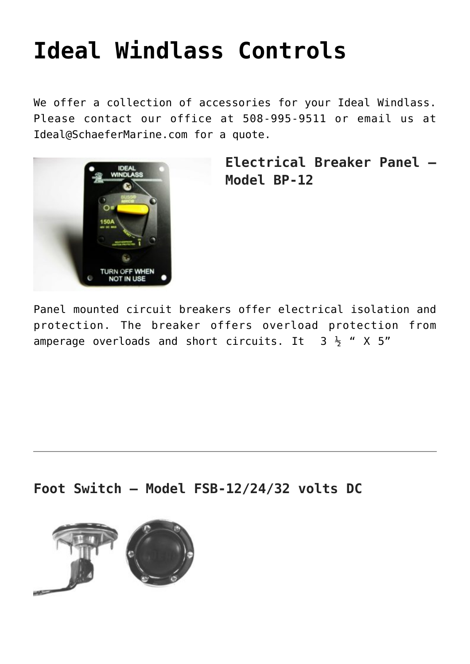## **[Ideal Windlass Controls](https://www.schaefermarine.com/our-products/ideal-windlass/ideal-windlass-controls/)**

We offer a collection of accessories for your Ideal Windlass. Please contact our office at 508-995-9511 or email us at Ideal@SchaeferMarine.com for a quote.



**Electrical Breaker Panel – Model BP-12**

Panel mounted circuit breakers offer electrical isolation and protection. The breaker offers overload protection from amperage overloads and short circuits. It  $3\frac{1}{2}$  " X 5"

**Foot Switch – Model FSB-12/24/32 volts DC**

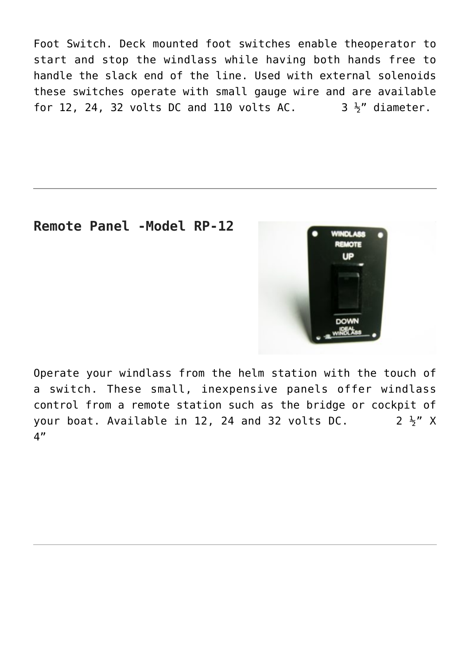Foot Switch. Deck mounted foot switches enable theoperator to start and stop the windlass while having both hands free to handle the slack end of the line. Used with external solenoids these switches operate with small gauge wire and are available for 12, 24, 32 volts DC and 110 volts AC.  $\overline{3}$   $\frac{1}{2}$ " diameter.

## **Remote Panel -Model RP-12**



Operate your windlass from the helm station with the touch of a switch. These small, inexpensive panels offer windlass control from a remote station such as the bridge or cockpit of your boat. Available in 12, 24 and 32 volts DC.  $2\frac{1}{2}$  X 4"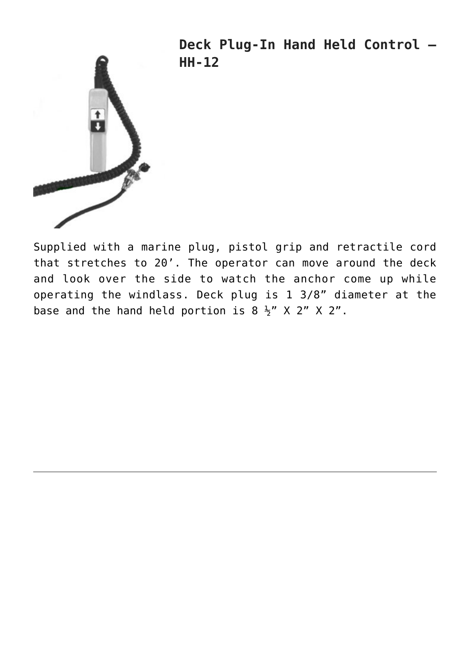



Supplied with a marine plug, pistol grip and retractile cord that stretches to 20'. The operator can move around the deck and look over the side to watch the anchor come up while operating the windlass. Deck plug is 1 3/8" diameter at the base and the hand held portion is  $8 \frac{1}{2}$ " X 2" X 2".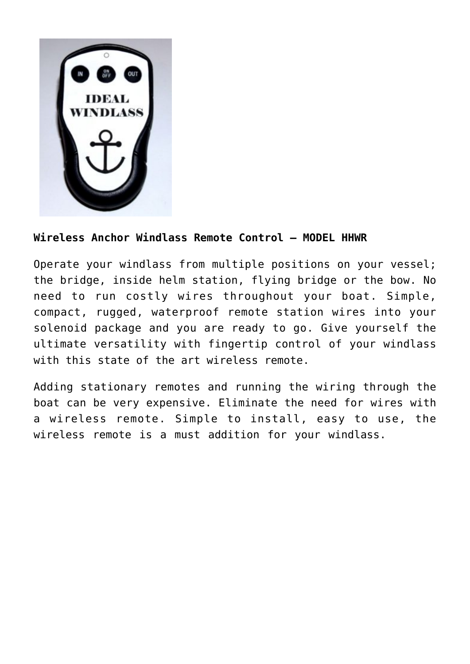

## **Wireless Anchor Windlass Remote Control – MODEL HHWR**

Operate your windlass from multiple positions on your vessel; the bridge, inside helm station, flying bridge or the bow. No need to run costly wires throughout your boat. Simple, compact, rugged, waterproof remote station wires into your solenoid package and you are ready to go. Give yourself the ultimate versatility with fingertip control of your windlass with this state of the art wireless remote.

Adding stationary remotes and running the wiring through the boat can be very expensive. Eliminate the need for wires with a wireless remote. Simple to install, easy to use, the wireless remote is a must addition for your windlass.